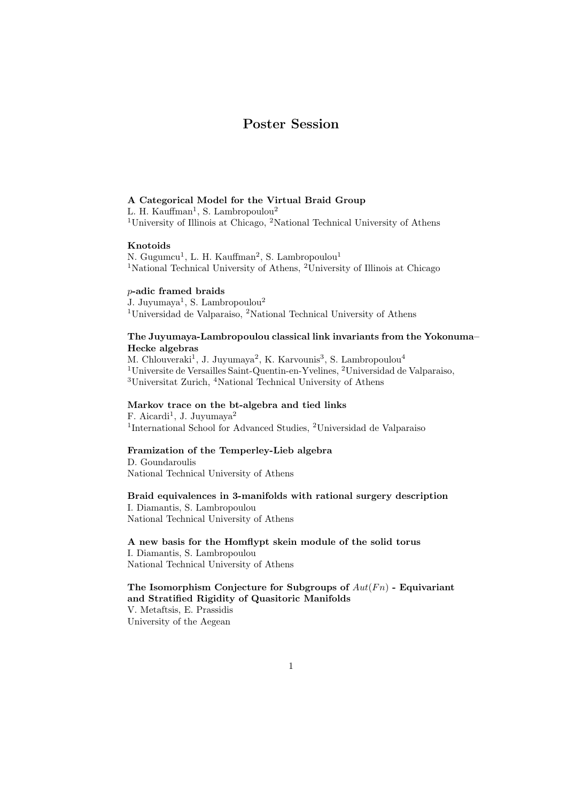# Poster Session

### A Categorical Model for the Virtual Braid Group

L. H. Kauffman<sup>1</sup>, S. Lambropoulou<sup>2</sup>

<sup>1</sup>University of Illinois at Chicago, <sup>2</sup>National Technical University of Athens

# Knotoids

N. Gugumcu<sup>1</sup>, L. H. Kauffman<sup>2</sup>, S. Lambropoulou<sup>1</sup> <sup>1</sup>National Technical University of Athens, <sup>2</sup>University of Illinois at Chicago

# p-adic framed braids

J. Juyumaya<sup>1</sup>, S. Lambropoulou<sup>2</sup> <sup>1</sup>Universidad de Valparaiso, <sup>2</sup>National Technical University of Athens

### The Juyumaya-Lambropoulou classical link invariants from the Yokonuma– Hecke algebras

M. Chlouveraki<sup>1</sup>, J. Juyumaya<sup>2</sup>, K. Karvounis<sup>3</sup>, S. Lambropoulou<sup>4</sup> <sup>1</sup>Universite de Versailles Saint-Quentin-en-Yvelines, <sup>2</sup>Universidad de Valparaiso, <sup>3</sup>Universitat Zurich, <sup>4</sup>National Technical University of Athens

# Markov trace on the bt-algebra and tied links

 $F.$  Aicardi<sup>1</sup>, J. Juyumaya<sup>2</sup> <sup>1</sup>International School for Advanced Studies, <sup>2</sup>Universidad de Valparaiso

### Framization of the Temperley-Lieb algebra

D. Goundaroulis National Technical University of Athens

#### Braid equivalences in 3-manifolds with rational surgery description

I. Diamantis, S. Lambropoulou National Technical University of Athens

A new basis for the Homflypt skein module of the solid torus I. Diamantis, S. Lambropoulou National Technical University of Athens

The Isomorphism Conjecture for Subgroups of  $Aut(F_n)$  - Equivariant and Stratified Rigidity of Quasitoric Manifolds V. Metaftsis, E. Prassidis University of the Aegean